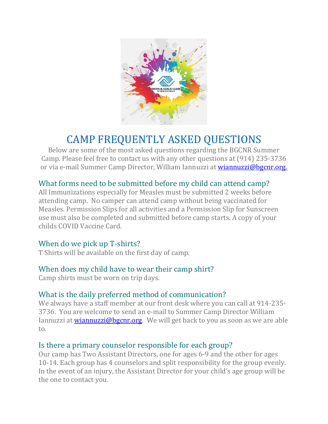

# CAMP FREQUENTLY ASKED QUESTIONS

Below are some of the most asked questions regarding the BGCNR Summer Camp. Please feel free to contact us with any other questions at (914) 235-3736 or via e-mail Summer Camp Director, William Iannuzzi at [wiannuzzi@bgcnr.org.](mailto:wiannuzzi@bgcnr.org.)

# What forms need to be submitted before my child can attend camp?

All Immunizations especially for Measles must be submitted 2 weeks before attending camp. No camper can attend camp without being vaccinated for Measles. Permission Slips for all activities and a Permission Slip for Sunscreen use must also be completed and submitted before camp starts. A copy of your childs COVID Vaccine Card.

# When do we pick up T-shirts?

T Shirts will be available on the first day of camp.

# When does my child have to wear their camp shirt?

Camp shirts must be worn on trip days.

# What is the daily preferred method of communication?

We always have a staff member at our front desk where you can call at 914-235- 3736. You are welcome to send an e-mail to Summer Camp Director William Iannuzzi at **wiannuzzi@bgcnr.org.** We will get back to you as soon as we are able to.

# Is there a primary counselor responsible for each group?

Our camp has Two Assistant Directors, one for ages 6-9 and the other for ages 10-14. Each group has 4 counselors and split responsibility for the group evenly. In the event of an injury, the Assistant Director for your child's age group will be the one to contact you.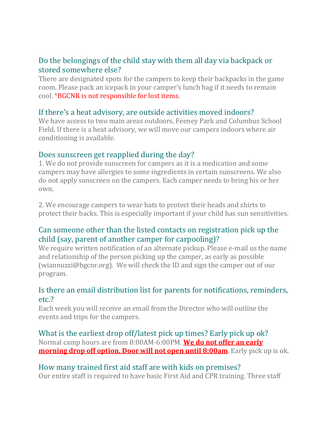# Do the belongings of the child stay with them all day via backpack or stored somewhere else?

There are designated spots for the campers to keep their backpacks in the game room. Please pack an icepack in your camper's lunch bag if it needs to remain cool. \*BGCNR is not responsible for lost items.

# If there's a heat advisory, are outside activities moved indoors?

We have access to two main areas outdoors, Feeney Park and Columbus School Field. If there is a heat advisory, we will move our campers indoors where air conditioning is available.

#### Does sunscreen get reapplied during the day?

1. We do not provide sunscreen for campers as it is a medication and some campers may have allergies to some ingredients in certain sunscreens. We also do not apply sunscreen on the campers. Each camper needs to bring his or her own.

2. We encourage campers to wear hats to protect their heads and shirts to protect their backs. This is especially important if your child has sun sensitivities.

# Can someone other than the listed contacts on registration pick up the child (say, parent of another camper for carpooling)?

We require written notification of an alternate pickup. Please e-mail us the name and relationship of the person picking up the camper, as early as possible (wiannuzzi@bgcnr.org). We will check the ID and sign the camper out of our program.

# Is there an email distribution list for parents for notifications, reminders, etc.?

Each week you will receive an email from the Director who will outline the events and trips for the campers.

What is the earliest drop off/latest pick up times? Early pick up ok? Normal camp hours are from 8:00AM-6:00PM. **We do not offer an early morning drop off option. Door will not open until 8:00am**. Early pick up is ok.

# How many trained first aid staff are with kids on premises?

Our entire staff is required to have basic First Aid and CPR training. Three staff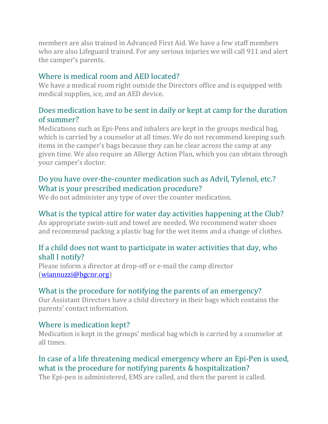members are also trained in Advanced First Aid. We have a few staff members who are also Lifeguard trained. For any serious injuries we will call 911 and alert the camper's parents.

# Where is medical room and AED located?

We have a medical room right outside the Directors office and is equipped with medical supplies, ice, and an AED device.

# Does medication have to be sent in daily or kept at camp for the duration of summer?

Medications such as Epi-Pens and inhalers are kept in the groups medical bag, which is carried by a counselor at all times. We do not recommend keeping such items in the camper's bags because they can be clear across the camp at any given time. We also require an Allergy Action Plan, which you can obtain through your camper's doctor.

# Do you have over-the-counter medication such as Advil, Tylenol, etc.? What is your prescribed medication procedure?

We do not administer any type of over the counter medication.

# What is the typical attire for water day activities happening at the Club?

An appropriate swim-suit and towel are needed. We recommend water shoes and recommend packing a plastic bag for the wet items and a change of clothes.

# If a child does not want to participate in water activities that day, who shall I notify?

Please inform a director at drop-off or e-mail the camp director [\(wiannuzzi@bgcnr.org\)](mailto:wiannuzzi@bgcnr.org)

# What is the procedure for notifying the parents of an emergency?

Our Assistant Directors have a child directory in their bags which contains the parents' contact information.

# Where is medication kept?

Medication is kept in the groups' medical bag which is carried by a counselor at all times.

# In case of a life threatening medical emergency where an Epi-Pen is used, what is the procedure for notifying parents & hospitalization?

The Epi-pen is administered, EMS are called, and then the parent is called.